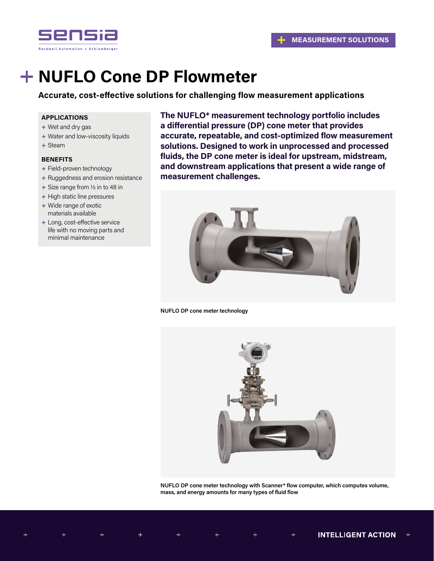

# **NUFLO Cone DP Flowmeter**

**Accurate, cost-effective solutions for challenging flow measurement applications**

# **APPLICATIONS**

- **+** Wet and dry gas
- **+** Water and low-viscosity liquids
- **+** Steam

# **BENEFITS**

- **+** Field-proven technology
- **+** Ruggedness and erosion resistance
- **+** Size range from 1/2 in to 48 in
- **+** High static line pressures
- **+** Wide range of exotic materials available
- **+** Long, cost-effective service life with no moving parts and minimal maintenance

**The NUFLO\* measurement technology portfolio includes a differential pressure (DP) cone meter that provides accurate, repeatable, and cost-optimized flow measurement solutions. Designed to work in unprocessed and processed fluids, the DP cone meter is ideal for upstream, midstream, and downstream applications that present a wide range of measurement challenges.** 



#### **NUFLO DP cone meter technology**



**NUFLO DP cone meter technology with Scanner\* flow computer, which computes volume, mass, and energy amounts for many types of fluid flow**

 $\pm$ 

 $\pm$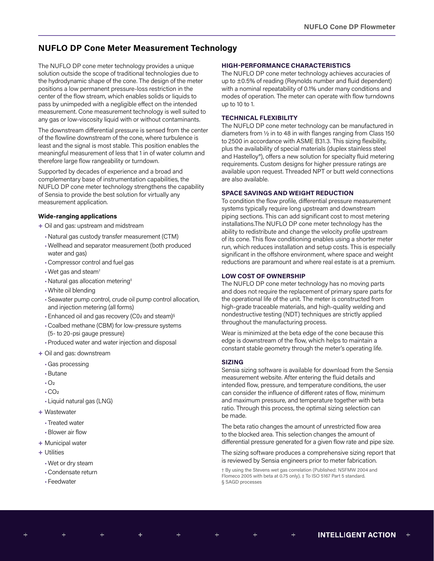# **NUFLO DP Cone Meter Measurement Technology**

The NUFLO DP cone meter technology provides a unique solution outside the scope of traditional technologies due to the hydrodynamic shape of the cone. The design of the meter positions a low permanent pressure-loss restriction in the center of the flow stream, which enables solids or liquids to pass by unimpeded with a negligible effect on the intended measurement. Cone measurement technology is well suited to any gas or low-viscosity liquid with or without contaminants.

The downstream differential pressure is sensed from the center of the flowline downstream of the cone, where turbulence is least and the signal is most stable. This position enables the meaningful measurement of less that 1 in of water column and therefore large flow rangeability or turndown.

Supported by decades of experience and a broad and complementary base of instrumentation capabilities, the NUFLO DP cone meter technology strengthens the capability of Sensia to provide the best solution for virtually any measurement application.

#### **Wide-ranging applications**

- **+** Oil and gas: upstream and midstream
	- •Natural gas custody transfer measurement (CTM)
	- •Wellhead and separator measurement (both produced water and gas)
	- •Compressor control and fuel gas
	- •Wet gas and steam†
	- •Natural gas allocation metering‡
	- •White oil blending
	- •Seawater pump control, crude oil pump control allocation, and injection metering (all forms)
	- Enhanced oil and gas recovery (C02 and steam)<sup>§</sup>
	- •Coalbed methane (CBM) for low-pressure systems (5- to 20-psi gauge pressure)
	- •Produced water and water injection and disposal
- **+** Oil and gas: downstream
	- •Gas processing
	- •Butane
	- $-O<sub>2</sub>$
	- $-CO<sub>2</sub>$
	- Liquid natural gas (LNG)
- **+** Wastewater
	- Treated water
	- •Blower air flow
- **+** Municipal water
- **+** Utilities
	- •Wet or dry steam
	- •Condensate return
	- Feedwater

 $\pm$ 

## **HIGH-PERFORMANCE CHARACTERISTICS**

The NUFLO DP cone meter technology achieves accuracies of up to ±0.5% of reading (Reynolds number and fluid dependent) with a nominal repeatability of 0.1% under many conditions and modes of operation. The meter can operate with flow turndowns up to 10 to 1.

#### **TECHNICAL FLEXIBILITY**

The NUFLO DP cone meter technology can be manufactured in diameters from 1/2 in to 48 in with flanges ranging from Class 150 to 2500 in accordance with ASME B31.3. This sizing flexibility, plus the availability of special materials (duplex stainless steel and Hastelloy®), offers a new solution for specialty fluid metering requirements. Custom designs for higher pressure ratings are available upon request. Threaded NPT or butt weld connections are also available.

# **SPACE SAVINGS AND WEIGHT REDUCTION**

To condition the flow profile, differential pressure measurement systems typically require long upstream and downstream piping sections. This can add significant cost to most metering installations.The NUFLO DP cone meter technology has the ability to redistribute and change the velocity profile upstream of its cone. This flow conditioning enables using a shorter meter run, which reduces installation and setup costs. This is especially significant in the offshore environment, where space and weight reductions are paramount and where real estate is at a premium.

#### **LOW COST OF OWNERSHIP**

The NUFLO DP cone meter technology has no moving parts and does not require the replacement of primary spare parts for the operational life of the unit. The meter is constructed from high-grade traceable materials, and high-quality welding and nondestructive testing (NDT) techniques are strictly applied throughout the manufacturing process.

Wear is minimized at the beta edge of the cone because this edge is downstream of the flow, which helps to maintain a constant stable geometry through the meter's operating life.

#### **SIZING**

Sensia sizing software is available for download from the Sensia measurement website. After entering the fluid details and intended flow, pressure, and temperature conditions, the user can consider the influence of different rates of flow, minimum and maximum pressure, and temperature together with beta ratio. Through this process, the optimal sizing selection can be made.

The beta ratio changes the amount of unrestricted flow area to the blocked area. This selection changes the amount of differential pressure generated for a given flow rate and pipe size.

The sizing software produces a comprehensive sizing report that is reviewed by Sensia engineers prior to meter fabrication.

† By using the Stevens wet gas correlation (Published: NSFMW 2004 and Flomeco 2005 with beta at 0.75 only). ‡ To ISO 5167 Part 5 standard. § SAGD processes

 $\color{red}+$ 

 $\pm$ 

 $\pm$ 

 $+$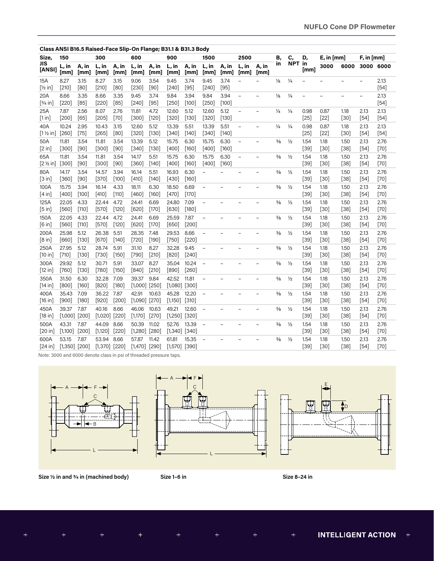| Class ANSI B16.5 Raised-Face Slip-On Flange; B31.1 & B31.3 Body |                            |                 |                            |                 |                            |                  |                            |                  |                          |                 |                          |                          |               |               |                          |                          |                          |                          |                |
|-----------------------------------------------------------------|----------------------------|-----------------|----------------------------|-----------------|----------------------------|------------------|----------------------------|------------------|--------------------------|-----------------|--------------------------|--------------------------|---------------|---------------|--------------------------|--------------------------|--------------------------|--------------------------|----------------|
| Size,                                                           | 150                        |                 | 300                        |                 | 600                        |                  | 900                        |                  | 1500                     |                 | 2500                     |                          | В,            | C,            | D,                       | $E$ , in [mm]            |                          | $F$ , in [mm]            |                |
| JIS<br>[ANSI]                                                   | L, in<br>[mm]              | A, in<br>[mm]   | L, in<br>[mm]              | A, in<br>[mm]   | L, in<br>[mm]              | A, in<br>[mm]    | L, in<br>[mm]              | A, in<br>[mm]    | L, in<br>[mm]            | A, in<br>[mm]   | L, in<br>[mm]            | A, in<br>[mm]            | in            | NPT in        | [mm]                     | 3000                     | 6000                     | 3000 6000                |                |
| 15A<br>$[\frac{1}{2}$ in]                                       | 8.27<br>$[210]$            | 3.15<br>[80]    | 8.27<br>$[210]$            | 3.15<br>[80]    | 9.06<br>$[230]$            | 3.54<br>[90]     | 9.45<br>$[240]$            | 3.74<br>$[95]$   | 9.45<br>$[240]$          | 3.74<br>$[95]$  | $\overline{a}$           | $\overline{\phantom{m}}$ | $\frac{1}{8}$ | $\frac{1}{4}$ |                          |                          | $\overline{\phantom{0}}$ | $\overline{\phantom{0}}$ | 2.13<br>[54]   |
| 20A<br>$[3/4$ in]                                               | 8.66<br>$[220]$            | 3.35<br>$[85]$  | 8.66<br>$[220]$            | 3.35<br>$[85]$  | 9.45<br>$[240]$            | 3.74<br>$[95]$   | 9.84<br>$[250]$            | 3.94<br>[100]    | 9.84<br>$[250]$          | 3.94<br>$[100]$ | $\overline{a}$           | $\overline{\phantom{a}}$ | ⅛             | $\frac{1}{4}$ | $\overline{\phantom{a}}$ | $\overline{\phantom{0}}$ | $\overline{\phantom{0}}$ | $\overline{\phantom{0}}$ | 2.13<br>$[54]$ |
| 25A<br>[1 in]                                                   | 7.87<br>[200]              | 2.56<br>[65]    | 8.07<br>$[205]$            | 2.76<br>$[70]$  | 11.81<br>[300]             | 4.72<br>$[120]$  | 12.60<br>[320]             | 5.12<br>[130]    | 12.60<br>$[320]$         | 5.12<br>$[130]$ | $\overline{\phantom{0}}$ |                          | 1/4           | $\frac{1}{4}$ | 0.98<br>[25]             | 0.87<br>$[22]$           | 1.18<br>$[30]$           | 2.13<br>$[54]$           | 2.13<br>[54]   |
| 40A<br>$[1\frac{1}{2}$ in]                                      | 10.24<br>$[260]$           | 2.95<br>$[75]$  | 10.43<br>$[265]$           | 3.15<br>[80]    | 12.60<br>$[320]$           | 5.12<br>$[130]$  | 13.39<br>$[340]$           | 5.51<br>$[140]$  | 13.39<br>$[340]$         | 5.51<br>$[140]$ | $\overline{a}$           |                          | 1⁄4           | $\frac{1}{4}$ | 0.98<br>$[25]$           | 0.87<br>$[22]$           | 1.18<br>$[30]$           | 2.13<br>$[54]$           | 2.13<br>$[54]$ |
| 50A<br>[2 in]                                                   | 11.81<br>$[300]$           | 3.54<br>$[90]$  | 11.81<br>$[300]$           | 3.54<br>$[90]$  | 13.39<br>$[340]$           | 5.12<br>$[130]$  | 15.75<br>$[400]$           | 6.30<br>$[160]$  | 15.75<br>$[400]$         | 6.30<br>$[160]$ | $\overline{a}$           | $\equiv$                 | $\frac{3}{8}$ | $\frac{1}{2}$ | 1.54<br>$[39]$           | 1.18<br>$[30]$           | 1.50<br>$[38]$           | 2.13<br>$[54]$           | 2.76<br>$[70]$ |
| 65A<br>$[2 \frac{1}{2} \text{ in}]$                             | 11.81<br>$[300]$           | 3.54<br>$[90]$  | 11.81<br>$[300]$           | 3.54<br>$[90]$  | 14.17<br>$[360]$           | 5.51<br>$[140]$  | 15.75<br>$[400]$           | 6.30<br>[160]    | 15.75<br>$[400]$         | 6.30<br>$[160]$ | $\overline{a}$           | $\overline{\phantom{a}}$ | $\frac{3}{8}$ | $\frac{1}{2}$ | 1.54<br>$[39]$           | 1.18<br>$[30]$           | 1.50<br>$[38]$           | 2.13<br>$[54]$           | 2.76<br>$[70]$ |
| 80A<br>[3 in]                                                   | 14.17<br>$[360]$           | 3.54<br>$[90]$  | 14.57<br>$[370]$           | 3.94<br>[100]   | 16.14<br>$[410]$           | 5.51<br>$[140]$  | 16.93<br>$[430]$           | 6.30<br>[160]    | $\overline{a}$           |                 |                          |                          | $\frac{3}{8}$ | $\frac{1}{2}$ | 1.54<br>$[39]$           | 1.18<br>$[30]$           | 1.50<br>$[38]$           | 2.13<br>$[54]$           | 2.76<br>$[70]$ |
| 100A<br>[4 in]                                                  | 15.75<br>$[400]$           | 3.94<br>[100]   | 16.14<br>$[410]$           | 4.33<br>[110]   | 18.11<br>$[460]$           | 6.30<br>[160]    | 18.50<br>$[470]$           | 6.69<br>$[170]$  | $\overline{a}$           |                 | -                        |                          | $\frac{3}{8}$ | $\frac{1}{2}$ | 1.54<br>$[39]$           | 1.18<br>$[30]$           | 1.50<br>$[38]$           | 2.13<br>$[54]$           | 2.76<br>$[70]$ |
| 125A<br>[5 in]                                                  | 22.05<br>[560]             | 4.33<br>$[110]$ | 22.44<br>$[570]$           | 4.72<br>$[120]$ | 24.41<br>[620]             | 6.69<br>$[170]$  | 24.80<br>$[630]$           | 7.09<br>$[180]$  | $\overline{a}$           | $\equiv$        | -                        | $\equiv$                 | $\frac{3}{8}$ | $\frac{1}{2}$ | 1.54<br>$[39]$           | 1.18<br>$[30]$           | 1.50<br>$[38]$           | 2.13<br>$[54]$           | 2.76<br>$[70]$ |
| 150A<br>[6 in]                                                  | 22.05<br>$[560]$           | 4.33<br>$[110]$ | 22.44<br>$[570]$           | 4.72<br>$[120]$ | 24.41<br>[620]             | 6.69<br>$[170]$  | 25.59<br>[650]             | 7.87<br>[200]    | $\overline{a}$           | $\equiv$        | $\overline{a}$           | $\equiv$                 | $\frac{3}{8}$ | $\frac{1}{2}$ | 1.54<br>$[39]$           | 1.18<br>[30]             | 1.50<br>$[38]$           | 2.13<br>$[54]$           | 2.76<br>$[70]$ |
| 200A<br>[8 in]                                                  | 25.98<br>[660]             | 5.12<br>$[130]$ | 26.38<br>$[670]$           | 5.51<br>$[140]$ | 28.35<br>$[720]$           | 7.48<br>$[190]$  | 29.53<br>$[750]$           | 8.66<br>$[220]$  | $\overline{\phantom{0}}$ |                 |                          |                          | $\frac{3}{8}$ | $\frac{1}{2}$ | 1.54<br>$[39]$           | 1.18<br>$[30]$           | 1.50<br>$[38]$           | 2.13<br>$[54]$           | 2.76<br>$[70]$ |
| 250A<br>[10 in]                                                 | 27.95<br>$[710]$           | 5.12<br>$[130]$ | 28.74<br>$[730]$           | 5.91<br>[150]   | 31.10<br>$[790]$           | 8.27<br>$[210]$  | 32.28<br>$[820]$           | 9.45<br>$[240]$  | $\overline{\phantom{a}}$ |                 |                          |                          | $\frac{3}{8}$ | $\frac{1}{2}$ | 1.54<br>$[39]$           | 1.18<br>$[30]$           | 1.50<br>$[38]$           | 2.13<br>$[54]$           | 2.76<br>$[70]$ |
| 300A<br>[12 in]                                                 | 29.92<br>$[760]$           | 5.12<br>$[130]$ | 30.71<br>[780]             | 5.91<br>$[150]$ | 33.07<br>$[840]$           | 8.27<br>$[210]$  | 35.04<br>$[890]$           | 10.24<br>[260]   | $\overline{\phantom{a}}$ |                 |                          |                          | $\frac{3}{8}$ | $\frac{1}{2}$ | 1.54<br>$[39]$           | 1.18<br>$[30]$           | 1.50<br>$[38]$           | 2.13<br>$[54]$           | 2.76<br>$[70]$ |
| 350A<br>[14 in]                                                 | 31.50<br>$[800]$           | 6.30<br>$[160]$ | 32.28<br>$[820]$           | 7.09<br>$[180]$ | 39.37<br>$[1,000]$ [250]   | 9.84             | 42.52<br>$[1,080]$ [300]   | 11.81            | $\overline{\phantom{a}}$ |                 |                          |                          | $\frac{3}{8}$ | $\frac{1}{2}$ | 1.54<br>$[39]$           | 1.18<br>$[30]$           | 1.50<br>$[38]$           | 2.13<br>$[54]$           | 2.76<br>$[70]$ |
| 400A<br>[16 in]                                                 | 35.43<br>$[900]$           | 7.09<br>$[180]$ | 36.22<br>$[920]$           | 7.87<br>[200]   | 42.91<br>$[1,090]$ $[270]$ | 10.63            | 45.28<br>[1,150]           | 12.20<br>$[310]$ | $\overline{\phantom{a}}$ |                 |                          |                          | $\frac{3}{8}$ | $\frac{1}{2}$ | 1.54<br>$[39]$           | 1.18<br>$[30]$           | 1.50<br>$[38]$           | 2.13<br>$[54]$           | 2.76<br>$[70]$ |
| 450A<br>[18 in]                                                 | 39.37<br>$[1,000]$ $[200]$ | 7.87            | 40.16<br>$[1,020]$ $[220]$ | 8.66            | 46.06<br>$[1,170]$         | 10.63<br>$[270]$ | 49.21<br>$[1,250]$ [320]   | 12.60            | $\equiv$                 |                 |                          |                          | $\frac{3}{8}$ | $\frac{1}{2}$ | 1.54<br>$[39]$           | 1.18<br>$[30]$           | 1.50<br>$[38]$           | 2.13<br>$[54]$           | 2.76<br>$[70]$ |
| 500A<br>[20 in]                                                 | 43.31<br>[1,100]           | 7.87<br>[200]   | 44.09<br>[1,120]           | 8.66<br>[220]   | 50.39<br>$[1,280]$ $[280]$ | 11.02            | 52.76<br>$[1,340]$ $[340]$ | 13.39            | $\overline{\phantom{a}}$ |                 |                          |                          | $\frac{3}{8}$ | $\frac{1}{2}$ | 1.54<br>$[39]$           | 1.18<br>$[30]$           | 1.50<br>$[38]$           | 2.13<br>$[54]$           | 2.76<br>$[70]$ |
| 600A<br>[24 in]                                                 | 53.15<br>$[1,350]$ $[200]$ | 7.87            | 53.94<br>$[1,370]$ $[220]$ | 8.66            | 57.87<br>$[1,470]$ [290]   | 11.42            | 61.81<br>$[1,570]$ [390]   | 15.35            | $\overline{\phantom{0}}$ |                 |                          |                          | $\frac{3}{8}$ | $\frac{1}{2}$ | 1.54<br>$[39]$           | 1.18<br>$[30]$           | 1.50<br>$[38]$           | 2.13<br>$[54]$           | 2.76<br>$[70]$ |

Note: 3000 and 6000 denote class in psi of threaded pressure taps.







**Size 1/2 in and 3/4 in (machined body) Size 1–6 in Size 8–24 in**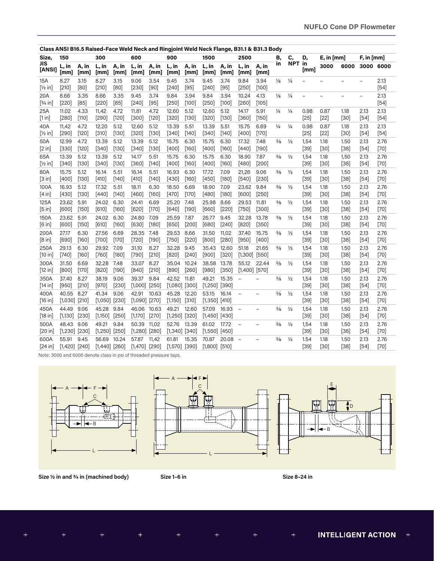|                           |                               |                 |                            |                 |                            |                 |                          |                  |                            |                  |                            | Class ANSI B16.5 Raised-Face Weld Neck and Ringjoint Weld Neck Flange, B31.1 & B31.3 Body |               |               |                          |                |                |                          |                |
|---------------------------|-------------------------------|-----------------|----------------------------|-----------------|----------------------------|-----------------|--------------------------|------------------|----------------------------|------------------|----------------------------|-------------------------------------------------------------------------------------------|---------------|---------------|--------------------------|----------------|----------------|--------------------------|----------------|
| Size,                     | 150                           |                 | 300                        |                 | 600                        |                 | 900                      |                  | 1500                       |                  | 2500                       |                                                                                           | В,            | C,            | D,                       | $E$ , in [mm]  |                | $F$ , in [mm]            |                |
| JIS<br>[ANSI]             | L, in<br>[mm]                 | A, in<br>[mm]   | L, in<br>[mm]              | A, in<br>[mm]   | L, in<br>[mm]              | A, in<br>[mm]   | L, in<br>[mm]            | A, in<br>[mm]    | L, in<br>[mm]              | A, in<br>[mm]    | L, in<br>[mm]              | A, in<br>[mm]                                                                             | in            | NPT in        | [mm]                     | 3000           | 6000           | 3000 6000                |                |
| 15A<br>$[\frac{1}{2}$ in  | 8.27<br>$[210]$               | 3.15<br>[80]    | 8.27<br>$[210]$            | 3.15<br>$[80]$  | 9.06<br>$[230]$            | 3.54<br>$[90]$  | 9.45<br>$[240]$          | 3.74<br>$[95]$   | 9.45<br>$[240]$            | 3.74<br>$[95]$   | 9.84<br>[250]              | 3.94<br>$[100]$                                                                           | $\frac{1}{8}$ | $\frac{1}{4}$ | $\overline{\phantom{0}}$ | $\overline{a}$ | $\overline{a}$ | $\overline{\phantom{0}}$ | 2.13<br>$[54]$ |
| 20A<br>$[3/4]$ in         | 8.66<br>$[220]$               | 3.35<br>$[85]$  | 8.66<br>$[220]$            | 3.35<br>$[85]$  | 9.45<br>$[240]$            | 3.74<br>$[95]$  | 9.84<br>$[250]$          | 3.94<br>$[100]$  | 9.84<br>$[250]$            | 3.94<br>$[100]$  | 10.24<br>$[260]$           | 4.13<br>[105]                                                                             | $\frac{1}{8}$ | $\frac{1}{4}$ | $\overline{\phantom{a}}$ | $\overline{a}$ | $\overline{a}$ | $\equiv$                 | 2.13<br>$[54]$ |
| 25A<br>[1 in]             | 11.02<br>[280]                | 4.33<br>$[110]$ | 11,42<br>$[290]$           | 4.72<br>$[120]$ | 11.81<br>[300]             | 4.72<br>[120]   | 12.60<br>[320]           | 5.12<br>[130]    | 12.60<br>$[320]$           | 5.12<br>[130]    | 14.17<br>[360]             | 5.91<br>[150]                                                                             | $\frac{1}{4}$ | $\frac{1}{4}$ | 0.98<br>[25]             | 0.87<br>$[22]$ | 1.18<br>$[30]$ | 2.13<br>[54]             | 2.13<br>[54]   |
| 40A<br>$[\frac{1}{2}$ in  | 11,42<br>$[290]$              | 4.72<br>$[120]$ | 12.20<br>$[310]$           | 5.12<br>[130]   | 12.60<br>$[320]$           | 5.12<br>$[130]$ | 13.39<br>$[340]$         | 5.51<br>[140]    | 13.39<br>$[340]$           | 5.51<br>[140]    | 15.75<br>$[400]$           | 6.69<br>$[170]$                                                                           | $\frac{1}{4}$ | $\frac{1}{4}$ | 0.98<br>$[25]$           | 0.87<br>$[22]$ | 1.18<br>$[30]$ | 2.13<br>[54]             | 2.13<br>$[54]$ |
| 50A<br>[2 in]             | 12.99<br>$[330]$              | 4.72<br>$[120]$ | 13.39<br>$[340]$           | 5.12<br>[130]   | 13.39<br>$[340]$           | 5.12<br>[130]   | 15.75<br>$[400]$         | 6.30<br>$[160]$  | 15.75<br>$[400]$           | 6.30<br>[160]    | 17.32<br>$[440]$           | 7.48<br>$[190]$                                                                           | $\frac{3}{8}$ | $\frac{1}{2}$ | 1,54<br>$[39]$           | 1.18<br>$[30]$ | 1.50<br>$[38]$ | 2.13<br>$[54]$           | 2.76<br>$[70]$ |
| 65A<br>$[\frac{1}{2}$ in] | 13.39<br>$[340]$              | 5.12<br>$[130]$ | 13.39<br>$[340]$           | 5.12<br>$[130]$ | 14.17<br>$[360]$           | 5.51<br>$[140]$ | 15.75<br>$[400]$         | 6.30<br>$[160]$  | 15.75<br>$[400]$           | 6.30<br>$[160]$  | 18.90<br>$[480]$           | 7.87<br>$[200]$                                                                           | $\frac{3}{8}$ | $\frac{1}{2}$ | 1,54<br>$[39]$           | 1.18<br>$[30]$ | 1,50<br>$[38]$ | 2.13<br>$[54]$           | 2.76<br>$[70]$ |
| 80A<br>[3 in]             | 15.75<br>$[400]$              | 5.12<br>$[130]$ | 16.14<br>$[410]$           | 5.51<br>[140]   | 16.14<br>$[410]$           | 5.51<br>$[140]$ | 16.93<br>$[430]$         | 6.30<br>$[160]$  | 17.72<br>$[450]$           | 7.09<br>[180]    | 21,26<br>$[540]$           | 9.06<br>$[230]$                                                                           | $\frac{3}{8}$ | $\frac{1}{2}$ | 1,54<br>$[39]$           | 1.18<br>$[30]$ | 1.50<br>$[38]$ | 2.13<br>$[54]$           | 2.76<br>$[70]$ |
| 100A<br>[4 in]            | 16.93<br>$[430]$              | 5.12<br>$[130]$ | 17.32<br>$[440]$           | 5.51<br>[140]   | 18.11<br>$[460]$           | 6.30<br>[160]   | 18.50<br>$[470]$         | 6.69<br>$[170]$  | 18.90<br>$[480]$           | 7.09<br>$[180]$  | 23.62<br>$[600]$           | 9.84<br>$[250]$                                                                           | $\frac{3}{8}$ | $\frac{1}{2}$ | 1,54<br>$[39]$           | 1.18<br>$[30]$ | 1.50<br>$[38]$ | 2.13<br>[54]             | 2.76<br>$[70]$ |
| 125A<br>[5 in]            | 23.62<br>[600]                | 5.91<br>$[150]$ | 24.02<br>[610]             | 6.30<br>[160]   | 24.41<br>[620]             | 6.69<br>$[170]$ | 25.20<br>[640]           | 7.48<br>$[190]$  | 25.98<br>[660]             | 8.66<br>$[220]$  | 29.53<br>$[750]$           | 11.81<br>$[300]$                                                                          | $\frac{3}{8}$ | $\frac{1}{2}$ | 1,54<br>$[39]$           | 1.18<br>$[30]$ | 1.50<br>$[38]$ | 2.13<br>$[54]$           | 2.76<br>$[70]$ |
| 150A<br>[6 in]            | 23.62<br>[600]                | 5.91<br>$[150]$ | 24.02<br>[610]             | 6.30<br>[160]   | 24.80<br>[630]             | 7.09<br>[180]   | 25.59<br>[650]           | 7.87<br>[200]    | 26.77<br>[680]             | 9.45<br>$[240]$  | 32.28<br>$[820]$           | 13.78<br>$[350]$                                                                          | $\frac{3}{8}$ | $\frac{1}{2}$ | 1,54<br>$[39]$           | 1.18<br>$[30]$ | 1.50<br>$[38]$ | 2.13<br>[54]             | 2.76<br>$[70]$ |
| 200A<br>[8 in]            | 27.17<br>[690]                | 6.30<br>[160]   | 27.56<br>$[700]$           | 6.69<br>$[170]$ | 28.35<br>$[720]$           | 7.48<br>[190]   | 29.53<br>$[750]$         | 8.66<br>$[220]$  | 31.50<br>[800]             | 11,02<br>$[280]$ | 37.40<br>$[950]$           | 15.75<br>$[400]$                                                                          | $\frac{3}{8}$ | $\frac{1}{2}$ | 1,54<br>$[39]$           | 1.18<br>[30]   | 1.50<br>$[38]$ | 2.13<br>[54]             | 2.76<br>$[70]$ |
| 250A<br>[10 in]           | 29.13<br>$[740]$              | 6.30<br>[160]   | 29.92<br>[760]             | 7.09<br>[180]   | 31.10<br>$[790]$           | 8.27<br>$[210]$ | 32.28<br>$[820]$         | 9.45<br>[240]    | 35.43<br>$[900]$           | 12.60<br>$[320]$ | 51.18<br>$[1,300]$ $[550]$ | 21.65                                                                                     | $\frac{3}{8}$ | $\frac{1}{2}$ | 1,54<br>$[39]$           | 1.18<br>$[30]$ | 1.50<br>$[38]$ | 2.13<br>[54]             | 2.76<br>$[70]$ |
| 300A<br>[12 in]           | 31.50<br>[800]                | 6.69<br>$[170]$ | 32.28<br>$[820]$           | 7.48<br>$[190]$ | 33.07<br>[840]             | 8.27<br>$[210]$ | 35.04<br>[890]           | 10.24<br>$[260]$ | 38.58<br>$[980]$           | 13.78<br>$[350]$ | 55.12<br>$[1,400]$ [570]   | 22.44                                                                                     | $\frac{3}{8}$ | $\frac{1}{2}$ | 1,54<br>$[39]$           | 1.18<br>$[30]$ | 1.50<br>$[38]$ | 2.13<br>$[54]$           | 2.76<br>$[70]$ |
| 350A<br>[14 in]           | 37.40<br>$[950]$              | 8.27<br>$[210]$ | 38.19<br>$[970]$           | 9.06<br>$[230]$ | 39.37<br>$[1,000]$ [250]   | 9.84            | 42.52<br>$[1,080]$ [300] | 11.81            | 49.21<br>$[1,250]$ [390]   | 15.35            | $\overline{\phantom{a}}$   | $\overline{\phantom{0}}$                                                                  | $\frac{3}{8}$ | $\frac{1}{2}$ | 1,54<br>$[39]$           | 1.18<br>$[30]$ | 1.50<br>$[38]$ | 2.13<br>$[54]$           | 2.76<br>$[70]$ |
| 400A<br>[16 in]           | 40.55<br>$[1,030]$ $[210]$    | 8.27            | 41.34<br>$[1,050]$ [230]   | 9.06            | 42.91<br>$[1,090]$ [270]   | 10.63           | 45.28<br>[1,150]         | 12.20<br>$[310]$ | 53.15<br>$[1,350]$ [410]   | 16.14            | $\overline{\phantom{a}}$   |                                                                                           | $\frac{3}{8}$ | $\frac{1}{2}$ | 1,54<br>$[39]$           | 1.18<br>$[30]$ | 1.50<br>$[38]$ | 2.13<br>$[54]$           | 2.76<br>$[70]$ |
| 450A<br>[18 in]           | 44.49<br>$[1,130]$ $[230]$    | 9.06            | 45.28<br>$[1,150]$ $[250]$ | 9.84            | 46.06 10.63<br>[1,170]     | $[270]$         | 49.21<br>$[1,250]$       | 12.60<br>$[320]$ | 57.09<br>$[1,450]$ $[430]$ | 16.93            | $\overline{\phantom{a}}$   | $\overline{\phantom{0}}$                                                                  | $\frac{3}{8}$ | $\frac{1}{2}$ | 1,54<br>$[39]$           | 1.18<br>$[30]$ | 1.50<br>[38]   | 2.13<br>[54]             | 2.76<br>$[70]$ |
| 500A<br>[20 in]           | 48.43 9.06<br>$[1,230]$ [230] |                 | 49.21<br>$[1,250]$ $[250]$ | 9.84            | 50.39<br>$[1,280]$ $[280]$ | 11,02           | 52.76<br>$[1,340]$ [340] | 13.39            | 61.02<br>$[1,550]$ $[450]$ | 17.72            | $\overline{\phantom{a}}$   | $\equiv$                                                                                  | $\frac{3}{8}$ | $\frac{1}{2}$ | 1,54<br>$[39]$           | 1.18<br>$[30]$ | 1.50<br>$[38]$ | 2.13<br>[54]             | 2.76<br>$[70]$ |
| 600A<br>[24 in]           | 55.91<br>$[1,420]$ $[240]$    | 9.45            | 56.69<br>$[1,440]$ [260]   | 10.24           | 57.87<br>$[1,470]$ [290]   | 11,42           | 61.81<br>$[1,570]$ [390] | 15.35            | 70.87<br>$[1,800]$ $[510]$ | 20.08            | $\overline{\phantom{a}}$   | $\overline{\phantom{0}}$                                                                  | $\frac{3}{8}$ | $\frac{1}{2}$ | 1.54<br>$[39]$           | 1.18<br>[30]   | 1.50<br>$[38]$ | 2.13<br>[54]             | 2.76<br>$[70]$ |

Note: 3000 and 6000 denote class in psi of threaded pressure taps.







**Size 1/2 in and 3/4 in (machined body) Size 1–6 in Size 8–24 in**

 $\ddot{}$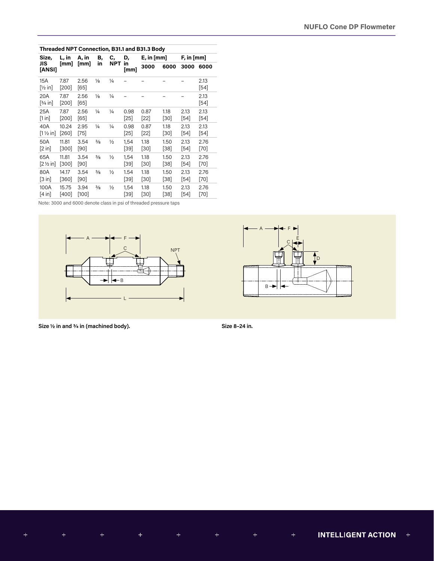|                                     |                  |                |               |               |              | Threaded NPT Connection, B31.1 and B31.3 Body |              |               |                |
|-------------------------------------|------------------|----------------|---------------|---------------|--------------|-----------------------------------------------|--------------|---------------|----------------|
| Size.                               | L, in            | A, in          | В,            | С.            | D,           | $E$ , in [mm]                                 |              | $F$ , in [mm] |                |
| JIS<br>[ANSI]                       | [mm]             | [mm]           | in            | <b>NPT</b>    | in<br>[mm]   | 3000                                          | 6000         | 3000          | 6000           |
| 15A<br>[½ in]                       | 7.87<br>$[200]$  | 2.56<br>[65]   | $\frac{1}{8}$ | $\frac{1}{4}$ |              |                                               |              |               | 2.13<br>$[54]$ |
| 20A<br>[¾ in]                       | 7.87<br>[200]    | 2.56<br>[65]   | $\frac{1}{8}$ | $\frac{1}{4}$ |              |                                               |              |               | 2.13<br>[54]   |
| 25A<br>[1 in]                       | 7.87<br>[200]    | 2.56<br>[65]   | $\frac{1}{4}$ | $\frac{1}{4}$ | 0.98<br>[25] | 0.87<br>$[22]$                                | 1.18<br>[30] | 2.13<br>[54]  | 2.13<br>[54]   |
| 40A<br>$[1 \frac{1}{2} \text{ in}]$ | 10.24<br>[260]   | 2.95<br>$[75]$ | $\frac{1}{4}$ | $\frac{1}{4}$ | 0.98<br>[25] | 0.87<br>$[22]$                                | 1.18<br>[30] | 2.13<br>[54]  | 2.13<br>[54]   |
| 50A<br>$[2 \text{ in}]$             | 11.81<br>$[300]$ | 3.54<br>$[90]$ | $\frac{3}{8}$ | $\frac{1}{2}$ | 1,54<br>[39] | 1.18<br>[30]                                  | 1.50<br>[38] | 2.13<br>[54]  | 2.76<br>[70]   |
| 65A<br>$[2 \frac{1}{2} \text{ in}]$ | 11.81<br>[300]   | 3.54<br>$[90]$ | $\frac{3}{8}$ | $\frac{1}{2}$ | 1,54<br>[39] | 1.18<br>[30]                                  | 1.50<br>[38] | 2.13<br>[54]  | 2.76<br>[70]   |
| 80A<br>[3 in]                       | 14.17<br>[360]   | 3.54<br>$[90]$ | $\frac{3}{8}$ | $\frac{1}{2}$ | 1.54<br>[39] | 1.18<br>[30]                                  | 1.50<br>[38] | 2.13<br>[54]  | 2.76<br>[70]   |
| 100A<br>[4 in]                      | 15.75<br>[400]   | 3.94<br>[100]  | $\frac{3}{8}$ | $\frac{1}{2}$ | 1,54<br>[39] | 1.18<br>[30]                                  | 1.50<br>[38] | 2.13<br>[54]  | 2.76<br>[70]   |

Note: 3000 and 6000 denote class in psi of threaded pressure taps



 $B -$ A  $\mathbf{f}_{\mathsf{D}}$ F C E

**Size 1/2 in and 3/4 in (machined body). Size 8–24 in.**



INTELLIGENT ACTION +  $\ddot{}$  $\ddot{}$  $\ddot{}$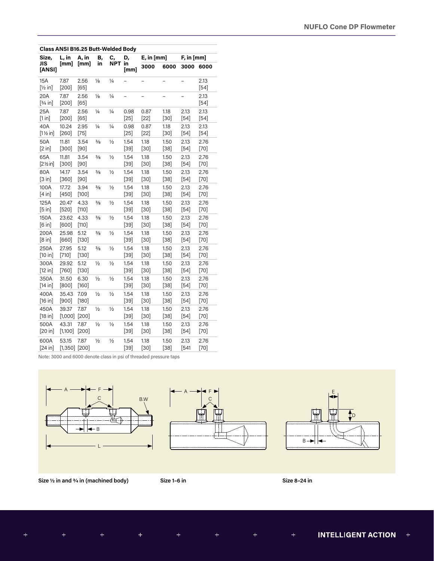| Class ANSI B16.25 Butt-Welded Body |                            |                 |               |               |                |                          |                |                 |                |
|------------------------------------|----------------------------|-----------------|---------------|---------------|----------------|--------------------------|----------------|-----------------|----------------|
| Size,                              | L, in                      | A, in           | Β,            | c,            | D,             | $E$ , in $[mm]$          |                | $F$ , in $[mm]$ |                |
| JIS<br>[ANSI]                      | [mm]                       | [mm]            | in            | <b>NPT</b>    | in<br>[mm]     | 3000                     | 6000           | 3000            | 6000           |
| 15A<br>$[\frac{1}{2}$ in]          | 7.87<br>$[200]$            | 2.56<br>$[65]$  | $\frac{1}{8}$ | $\frac{1}{4}$ |                |                          |                |                 | 2.13<br>$[54]$ |
| 20A<br>$[3/4]$ in]                 | 7.87<br>$[200]$            | 2.56<br>$[65]$  | $\frac{1}{8}$ | $\frac{1}{4}$ |                | $\overline{\phantom{0}}$ |                |                 | 2.13<br>$[54]$ |
| 25A<br>[1 in]                      | 7.87<br>$[200]$            | 2.56<br>[65]    | $\frac{1}{4}$ | 1⁄4           | 0.98<br>$[25]$ | 0.87<br>$[22]$           | 1.18<br>$[30]$ | 2.13<br>$[54]$  | 2.13<br>$[54]$ |
| 40A<br>$[1\frac{1}{2}$ in]         | 10.24<br>$[260]$           | 2.95<br>$[75]$  | $\frac{1}{4}$ | $\frac{1}{4}$ | 0.98<br>$[25]$ | 0.87<br>$[22]$           | 1.18<br>$[30]$ | 2.13<br>$[54]$  | 2.13<br>$[54]$ |
| 50A<br>[2 in]                      | 11.81<br>$[300]$           | 3.54<br>$[90]$  | $\frac{3}{8}$ | $\frac{1}{2}$ | 1.54<br>$[39]$ | 1.18<br>$[30]$           | 1.50<br>$[38]$ | 2.13<br>$[54]$  | 2.76<br>$[70]$ |
| 65A<br>$[2\%$ in]                  | 11.81<br>$[300]$           | 3.54<br>$[90]$  | $\frac{3}{8}$ | $\frac{1}{2}$ | 1.54<br>$[39]$ | 1.18<br>$[30]$           | 1.50<br>$[38]$ | 2.13<br>$[54]$  | 2.76<br>$[70]$ |
| 80A<br>[3 in]                      | 14.17<br>$[360]$           | 3.54<br>$[90]$  | $\frac{3}{8}$ | $\frac{1}{2}$ | 1.54<br>$[39]$ | 1.18<br>$[30]$           | 1.50<br>$[38]$ | 2.13<br>$[54]$  | 2.76<br>[70]   |
| 100A<br>[4 in]                     | 17.72<br>$[450]$           | 3.94<br>$[100]$ | $\frac{3}{8}$ | $\frac{1}{2}$ | 1.54<br>$[39]$ | 1.18<br>$[30]$           | 1.50<br>$[38]$ | 2.13<br>$[54]$  | 2.76<br>$[70]$ |
| 125A<br>[5 in]                     | 20.47<br>$[520]$           | 4.33<br>$[110]$ | $\frac{3}{8}$ | $\frac{1}{2}$ | 1.54<br>$[39]$ | 1.18<br>$[30]$           | 1.50<br>$[38]$ | 2.13<br>$[54]$  | 2.76<br>$[70]$ |
| 150A<br>[6 in]                     | 23.62<br>[600]             | 4.33<br>$[110]$ | $\frac{3}{8}$ | $\frac{1}{2}$ | 1.54<br>$[39]$ | 1.18<br>$[30]$           | 1.50<br>[38]   | 2.13<br>$[54]$  | 2.76<br>$[70]$ |
| 200A<br>[8 in]                     | 25.98<br>$[660]$           | 5.12<br>$[130]$ | $\frac{3}{8}$ | $\frac{1}{2}$ | 1.54<br>$[39]$ | 1.18<br>$[30]$           | 1.50<br>$[38]$ | 2.13<br>$[54]$  | 2.76<br>$[70]$ |
| 250A<br>[10 in]                    | 27.95<br>$[710]$           | 5.12<br>$[130]$ | $\frac{3}{8}$ | $\frac{1}{2}$ | 1.54<br>$[39]$ | 1.18<br>$[30]$           | 1.50<br>$[38]$ | 2.13<br>$[54]$  | 2.76<br>$[70]$ |
| 300A<br>[12 in]                    | 29.92<br>$[760]$           | 5.12<br>$[130]$ | $\frac{1}{2}$ | $\frac{1}{2}$ | 1.54<br>$[39]$ | 1.18<br>$[30]$           | 1.50<br>$[38]$ | 2.13<br>$[54]$  | 2.76<br>$[70]$ |
| 350A<br>[14 in]                    | 31.50<br>[800]             | 6.30<br>$[160]$ | $\frac{1}{2}$ | $\frac{1}{2}$ | 1.54<br>$[39]$ | 1.18<br>$[30]$           | 1.50<br>$[38]$ | 2.13<br>$[54]$  | 2.76<br>[70]   |
| 400A<br>[16 in]                    | 35.43<br>$[900]$           | 7.09<br>$[180]$ | $\frac{1}{2}$ | $\frac{1}{2}$ | 1.54<br>$[39]$ | 1.18<br>$[30]$           | 1.50<br>$[38]$ | 2.13<br>$[54]$  | 2.76<br>$[70]$ |
| 450A<br>[18 in]                    | 39.37<br>$[1,000]$         | 7.87<br>$[200]$ | $\frac{1}{2}$ | $\frac{1}{2}$ | 1.54<br>$[39]$ | 1.18<br>$[30]$           | 1.50<br>$[38]$ | 2.13<br>$[54]$  | 2.76<br>$[70]$ |
| 500A<br>[20 in]                    | 43.31<br>$[1,100]$         | 7.87<br>$[200]$ | $\frac{1}{2}$ | $\frac{1}{2}$ | 1.54<br>$[39]$ | 1.18<br>$[30]$           | 1.50<br>$[38]$ | 2.13<br>$[54]$  | 2.76<br>$[70]$ |
| 600A<br>[24 in]                    | 53.15<br>$[1,350]$ $[200]$ | 7.87            | $\frac{1}{2}$ | $\frac{1}{2}$ | 1.54<br>$[39]$ | 1.18<br>$[30]$           | 1.50<br>$[38]$ | 2.13<br>$[541$  | 2.76<br>$[70]$ |

Note: 3000 and 6000 denote class in psi of threaded pressure taps







**Size 1/2 in and 3/4 in (machined body) Size 1–6 in Size 8–24 in**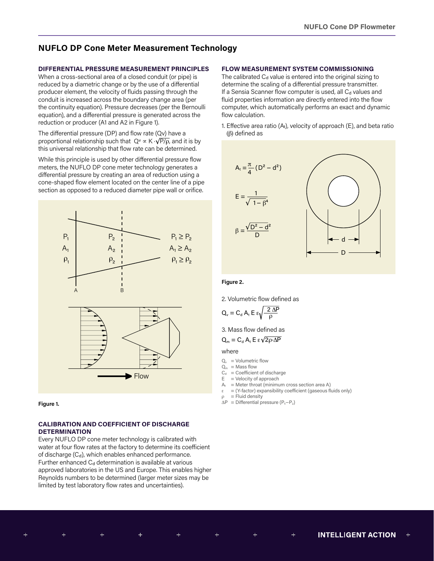# **NUFLO DP Cone Meter Measurement Technology**

# **DIFFERENTIAL PRESSURE MEASUREMENT PRINCIPLES**

When a cross-sectional area of a closed conduit (or pipe) is reduced by a diametric change or by the use of a differential producer element, the velocity of fluids passing through the conduit is increased across the boundary change area (per the continuity equation). Pressure decreases (per the Bernoulli equation), and a differential pressure is generated across the reduction or producer (A1 and A2 in Figure 1).

The differential pressure (DP) and flow rate (Qv) have a proportional relationship such that  $Q^{\vee} \propto K \cdot \sqrt{P/\rho}$ , and it is by this universal relationship that flow rate can be determined.

While this principle is used by other differential pressure flow meters, the NUFLO DP cone meter technology generates a differential pressure by creating an area of reduction using a cone-shaped flow element located on the center line of a pipe section as opposed to a reduced diameter pipe wall or orifice.



**Figure 1.**

# **CALIBRATION AND COEFFICIENT OF DISCHARGE DETERMINATION**

Every NUFLO DP cone meter technology is calibrated with water at four flow rates at the factory to determine its coefficient of discharge  $(C_d)$ , which enables enhanced performance. Further enhanced  $C_d$  determination is available at various approved laboratories in the US and Europe. This enables higher Reynolds numbers to be determined (larger meter sizes may be limited by test laboratory flow rates and uncertainties).

 $\pm$ 

# **FLOW MEASUREMENT SYSTEM COMMISSIONING**

The calibrated  $C_d$  value is entered into the original sizing to determine the scaling of a differential pressure transmitter. If a Sensia Scanner flow computer is used, all  $C_d$  values and fluid properties information are directly entered into the flow computer, which automatically performs an exact and dynamic flow calculation.

1. Effective area ratio ( $A_t$ ), velocity of approach (E), and beta ratio (β) defined as



#### **Figure 2.**

2. Volumetric flow defined as

$$
Q_v = C_d A_t E \epsilon \sqrt{\frac{2 \Delta P}{\rho}}
$$

3. Mass flow defined as

$$
Q_{m} = C_{d} A_{t} E \epsilon \sqrt{2 \rho \cdot \Delta P}
$$

where

- $Q_v$  = Volumetric flow
- $Q_m$  = Mass flow
- $C_d$  = Coefficient of discharge
- $E =$  Velocity of approach<br>A<sub>c</sub> = Meter throat (minimu  $=$  Meter throat (minimum cross section area A)
- $\varepsilon = (Y-factor)$  expansibility coefficient (gaseous fluids only)
- $=$  Fluid density
- $\Delta P$  = Differential pressure (P<sub>1</sub>−P<sub>2</sub>)

 $\pm$ 

 $\color{red}+$